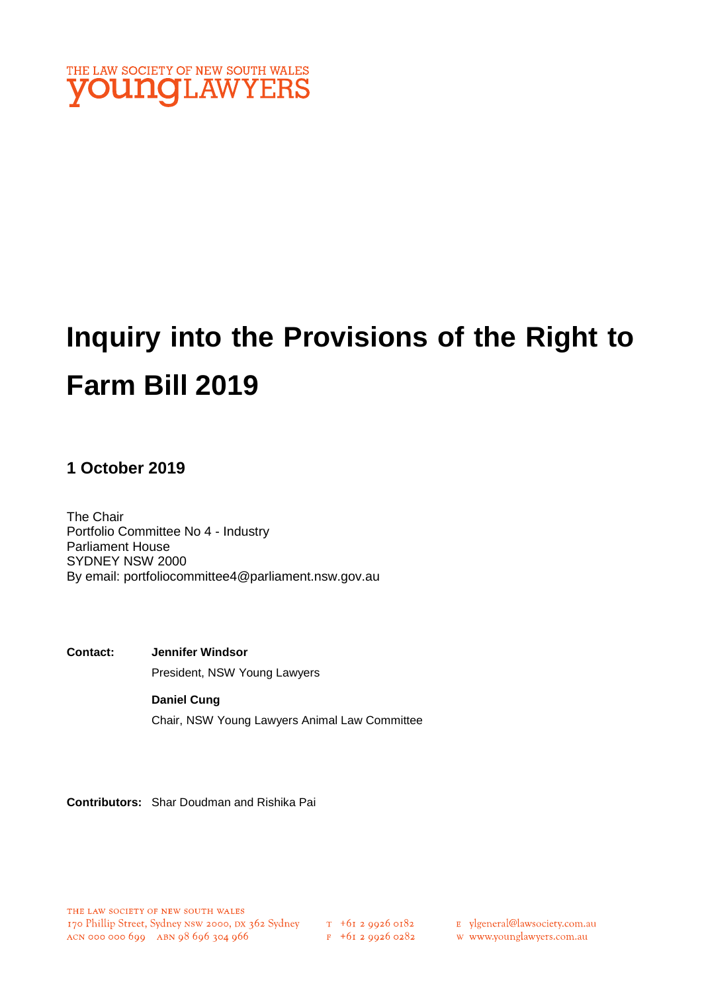

# **Inquiry into the Provisions of the Right to Farm Bill 2019**

## **1 October 2019**

The Chair Portfolio Committee No 4 - Industry Parliament House SYDNEY NSW 2000 By email: portfoliocommittee4@parliament.nsw.gov.au

**Contact: Jennifer Windsor**  President, NSW Young Lawyers

> **Daniel Cung** Chair, NSW Young Lawyers Animal Law Committee

**Contributors:** Shar Doudman and Rishika Pai

 $F$  +61 2 9926 0282

E ylgeneral@lawsociety.com.au

w www.younglawyers.com.au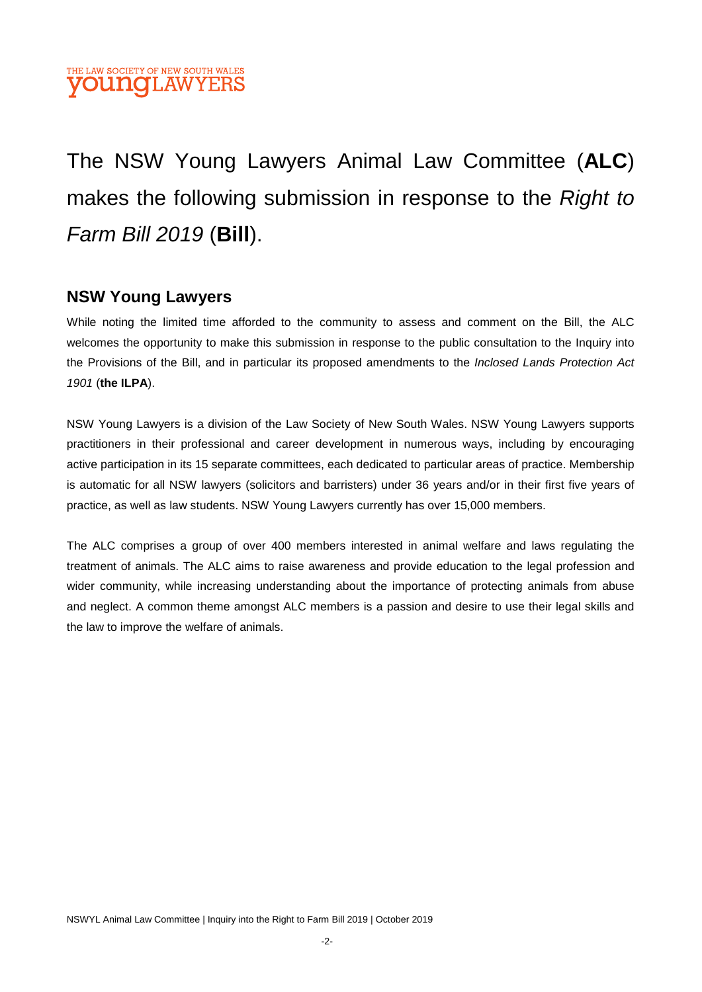

## The NSW Young Lawyers Animal Law Committee (**ALC**) makes the following submission in response to the *Right to Farm Bill 2019* (**Bill**).

## **NSW Young Lawyers**

While noting the limited time afforded to the community to assess and comment on the Bill, the ALC welcomes the opportunity to make this submission in response to the public consultation to the Inquiry into the Provisions of the Bill, and in particular its proposed amendments to the *Inclosed Lands Protection Act 1901* (**the ILPA**).

NSW Young Lawyers is a division of the Law Society of New South Wales. NSW Young Lawyers supports practitioners in their professional and career development in numerous ways, including by encouraging active participation in its 15 separate committees, each dedicated to particular areas of practice. Membership is automatic for all NSW lawyers (solicitors and barristers) under 36 years and/or in their first five years of practice, as well as law students. NSW Young Lawyers currently has over 15,000 members.

The ALC comprises a group of over 400 members interested in animal welfare and laws regulating the treatment of animals. The ALC aims to raise awareness and provide education to the legal profession and wider community, while increasing understanding about the importance of protecting animals from abuse and neglect. A common theme amongst ALC members is a passion and desire to use their legal skills and the law to improve the welfare of animals.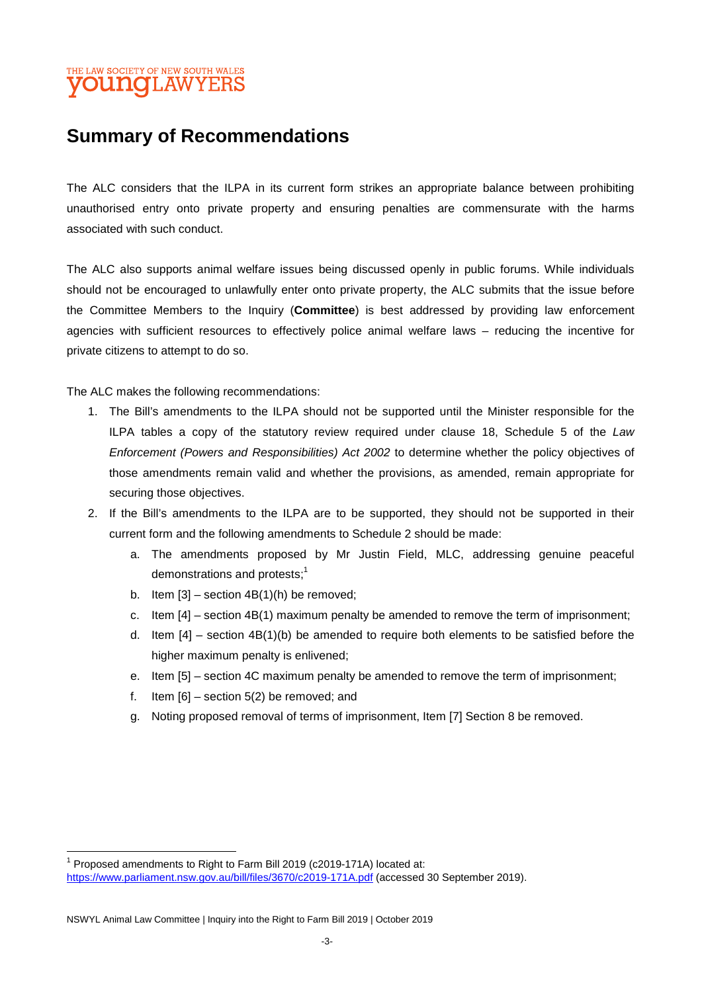## THE LAW SOCIETY OF NEW SOUTH WALES **OUNGLAWYERS**

## **Summary of Recommendations**

The ALC considers that the ILPA in its current form strikes an appropriate balance between prohibiting unauthorised entry onto private property and ensuring penalties are commensurate with the harms associated with such conduct.

The ALC also supports animal welfare issues being discussed openly in public forums. While individuals should not be encouraged to unlawfully enter onto private property, the ALC submits that the issue before the Committee Members to the Inquiry (**Committee**) is best addressed by providing law enforcement agencies with sufficient resources to effectively police animal welfare laws – reducing the incentive for private citizens to attempt to do so.

The ALC makes the following recommendations:

- 1. The Bill's amendments to the ILPA should not be supported until the Minister responsible for the ILPA tables a copy of the statutory review required under clause 18, Schedule 5 of the *Law Enforcement (Powers and Responsibilities) Act 2002* to determine whether the policy objectives of those amendments remain valid and whether the provisions, as amended, remain appropriate for securing those objectives.
- 2. If the Bill's amendments to the ILPA are to be supported, they should not be supported in their current form and the following amendments to Schedule 2 should be made:
	- a. The amendments proposed by Mr Justin Field, MLC, addressing genuine peaceful demonstrations and protests;<sup>1</sup>
	- b. Item  $[3]$  section  $4B(1)(h)$  be removed;
	- c. Item [4] section 4B(1) maximum penalty be amended to remove the term of imprisonment;
	- d. Item [4] section 4B(1)(b) be amended to require both elements to be satisfied before the higher maximum penalty is enlivened;
	- e. Item [5] section 4C maximum penalty be amended to remove the term of imprisonment;
	- f. Item  $[6]$  section  $5(2)$  be removed; and
	- g. Noting proposed removal of terms of imprisonment, Item [7] Section 8 be removed.

<sup>1</sup> Proposed amendments to Right to Farm Bill 2019 (c2019-171A) located at: https://www.parliament.nsw.gov.au/bill/files/3670/c2019-171A.pdf (accessed 30 September 2019).

NSWYL Animal Law Committee | Inquiry into the Right to Farm Bill 2019 | October 2019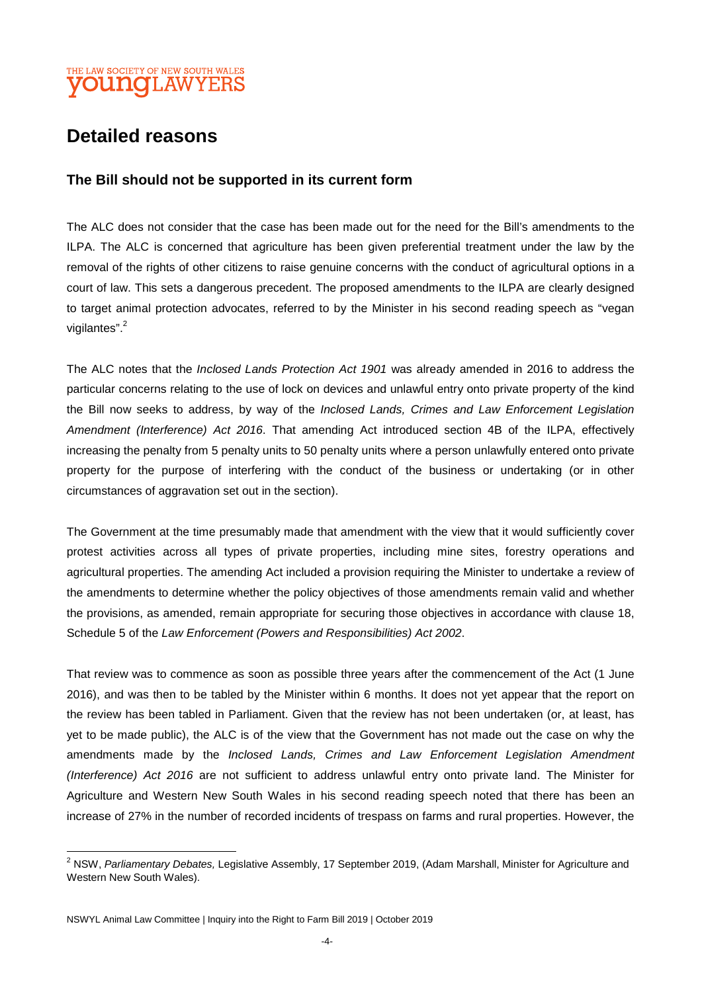## THE LAW SOCIETY OF NEW SOUTH WALES **OUNCLAWYERS**

## **Detailed reasons**

#### **The Bill should not be supported in its current form**

The ALC does not consider that the case has been made out for the need for the Bill's amendments to the ILPA. The ALC is concerned that agriculture has been given preferential treatment under the law by the removal of the rights of other citizens to raise genuine concerns with the conduct of agricultural options in a court of law. This sets a dangerous precedent. The proposed amendments to the ILPA are clearly designed to target animal protection advocates, referred to by the Minister in his second reading speech as "vegan vigilantes".<sup>2</sup>

The ALC notes that the *Inclosed Lands Protection Act 1901* was already amended in 2016 to address the particular concerns relating to the use of lock on devices and unlawful entry onto private property of the kind the Bill now seeks to address, by way of the *Inclosed Lands, Crimes and Law Enforcement Legislation Amendment (Interference) Act 2016*. That amending Act introduced section 4B of the ILPA, effectively increasing the penalty from 5 penalty units to 50 penalty units where a person unlawfully entered onto private property for the purpose of interfering with the conduct of the business or undertaking (or in other circumstances of aggravation set out in the section).

The Government at the time presumably made that amendment with the view that it would sufficiently cover protest activities across all types of private properties, including mine sites, forestry operations and agricultural properties. The amending Act included a provision requiring the Minister to undertake a review of the amendments to determine whether the policy objectives of those amendments remain valid and whether the provisions, as amended, remain appropriate for securing those objectives in accordance with clause 18, Schedule 5 of the *Law Enforcement (Powers and Responsibilities) Act 2002*.

That review was to commence as soon as possible three years after the commencement of the Act (1 June 2016), and was then to be tabled by the Minister within 6 months. It does not yet appear that the report on the review has been tabled in Parliament. Given that the review has not been undertaken (or, at least, has yet to be made public), the ALC is of the view that the Government has not made out the case on why the amendments made by the *Inclosed Lands, Crimes and Law Enforcement Legislation Amendment (Interference) Act 2016* are not sufficient to address unlawful entry onto private land. The Minister for Agriculture and Western New South Wales in his second reading speech noted that there has been an increase of 27% in the number of recorded incidents of trespass on farms and rural properties. However, the

NSWYL Animal Law Committee | Inquiry into the Right to Farm Bill 2019 | October 2019

<sup>2</sup> NSW, *Parliamentary Debates,* Legislative Assembly, 17 September 2019, (Adam Marshall, Minister for Agriculture and Western New South Wales).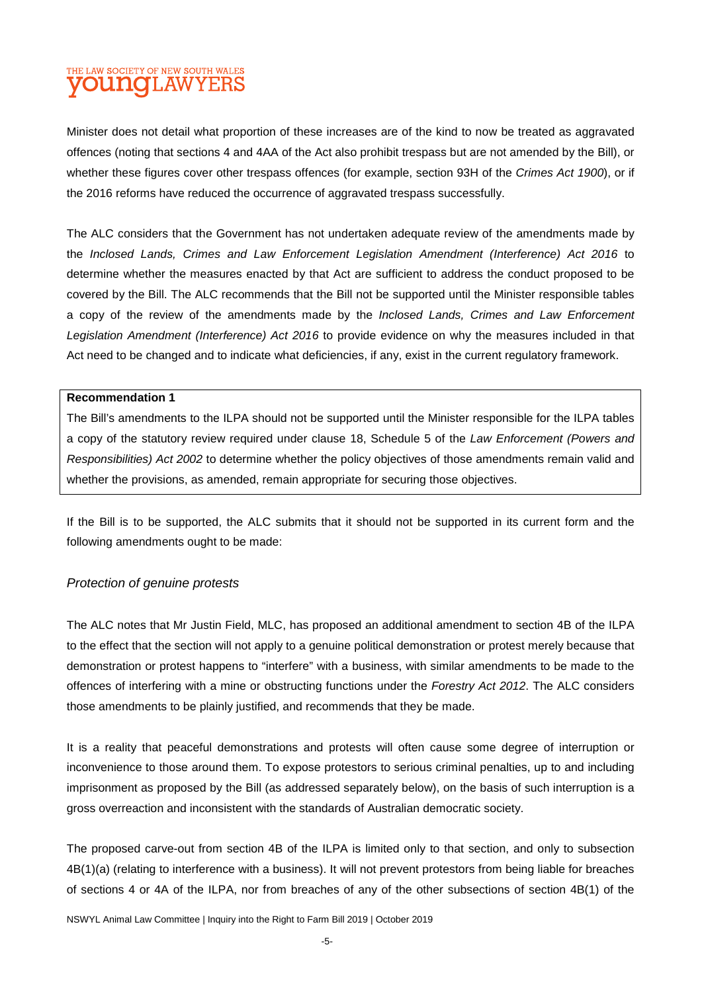## THE LAW SOCIETY OF NEW SOUTH WALES **OUNCLAWYERS**

Minister does not detail what proportion of these increases are of the kind to now be treated as aggravated offences (noting that sections 4 and 4AA of the Act also prohibit trespass but are not amended by the Bill), or whether these figures cover other trespass offences (for example, section 93H of the *Crimes Act 1900*), or if the 2016 reforms have reduced the occurrence of aggravated trespass successfully.

The ALC considers that the Government has not undertaken adequate review of the amendments made by the *Inclosed Lands, Crimes and Law Enforcement Legislation Amendment (Interference) Act 2016* to determine whether the measures enacted by that Act are sufficient to address the conduct proposed to be covered by the Bill. The ALC recommends that the Bill not be supported until the Minister responsible tables a copy of the review of the amendments made by the *Inclosed Lands, Crimes and Law Enforcement Legislation Amendment (Interference) Act 2016* to provide evidence on why the measures included in that Act need to be changed and to indicate what deficiencies, if any, exist in the current regulatory framework.

#### **Recommendation 1**

The Bill's amendments to the ILPA should not be supported until the Minister responsible for the ILPA tables a copy of the statutory review required under clause 18, Schedule 5 of the *Law Enforcement (Powers and Responsibilities) Act 2002* to determine whether the policy objectives of those amendments remain valid and whether the provisions, as amended, remain appropriate for securing those objectives.

If the Bill is to be supported, the ALC submits that it should not be supported in its current form and the following amendments ought to be made:

#### *Protection of genuine protests*

The ALC notes that Mr Justin Field, MLC, has proposed an additional amendment to section 4B of the ILPA to the effect that the section will not apply to a genuine political demonstration or protest merely because that demonstration or protest happens to "interfere" with a business, with similar amendments to be made to the offences of interfering with a mine or obstructing functions under the *Forestry Act 2012*. The ALC considers those amendments to be plainly justified, and recommends that they be made.

It is a reality that peaceful demonstrations and protests will often cause some degree of interruption or inconvenience to those around them. To expose protestors to serious criminal penalties, up to and including imprisonment as proposed by the Bill (as addressed separately below), on the basis of such interruption is a gross overreaction and inconsistent with the standards of Australian democratic society.

The proposed carve-out from section 4B of the ILPA is limited only to that section, and only to subsection 4B(1)(a) (relating to interference with a business). It will not prevent protestors from being liable for breaches of sections 4 or 4A of the ILPA, nor from breaches of any of the other subsections of section 4B(1) of the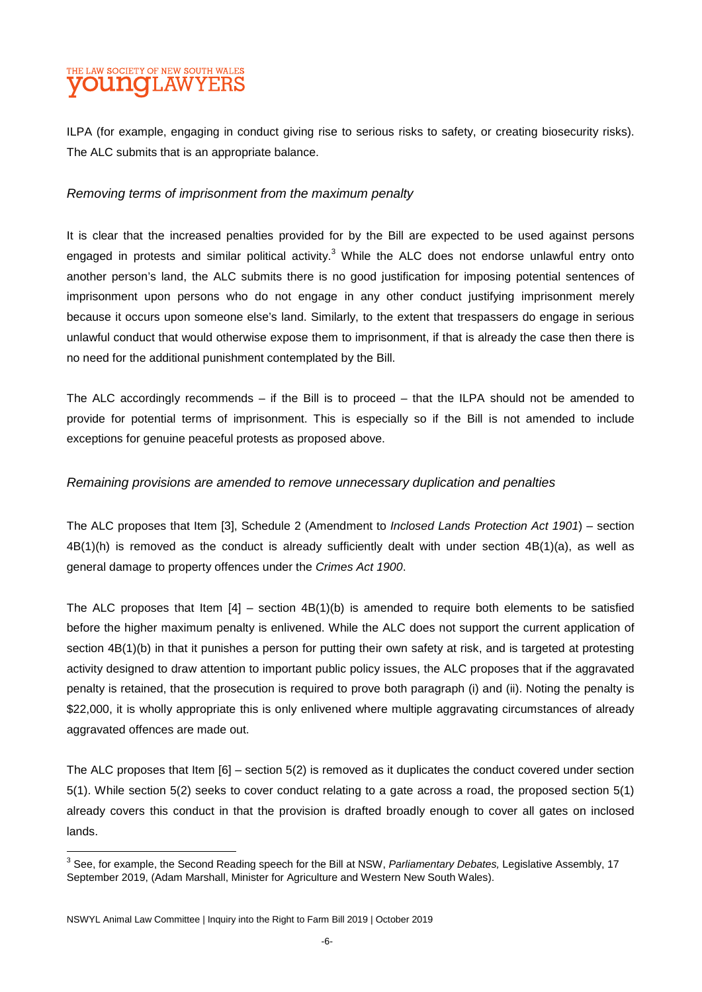## THE LAW SOCIETY OF NEW SOUTH WALES **OUNCLAWYE**

ILPA (for example, engaging in conduct giving rise to serious risks to safety, or creating biosecurity risks). The ALC submits that is an appropriate balance.

#### *Removing terms of imprisonment from the maximum penalty*

It is clear that the increased penalties provided for by the Bill are expected to be used against persons engaged in protests and similar political activity.<sup>3</sup> While the ALC does not endorse unlawful entry onto another person's land, the ALC submits there is no good justification for imposing potential sentences of imprisonment upon persons who do not engage in any other conduct justifying imprisonment merely because it occurs upon someone else's land. Similarly, to the extent that trespassers do engage in serious unlawful conduct that would otherwise expose them to imprisonment, if that is already the case then there is no need for the additional punishment contemplated by the Bill.

The ALC accordingly recommends – if the Bill is to proceed – that the ILPA should not be amended to provide for potential terms of imprisonment. This is especially so if the Bill is not amended to include exceptions for genuine peaceful protests as proposed above.

#### *Remaining provisions are amended to remove unnecessary duplication and penalties*

The ALC proposes that Item [3], Schedule 2 (Amendment to *Inclosed Lands Protection Act 1901*) – section 4B(1)(h) is removed as the conduct is already sufficiently dealt with under section 4B(1)(a), as well as general damage to property offences under the *Crimes Act 1900*.

The ALC proposes that Item  $[4]$  – section  $4B(1)(b)$  is amended to require both elements to be satisfied before the higher maximum penalty is enlivened. While the ALC does not support the current application of section 4B(1)(b) in that it punishes a person for putting their own safety at risk, and is targeted at protesting activity designed to draw attention to important public policy issues, the ALC proposes that if the aggravated penalty is retained, that the prosecution is required to prove both paragraph (i) and (ii). Noting the penalty is \$22,000, it is wholly appropriate this is only enlivened where multiple aggravating circumstances of already aggravated offences are made out.

The ALC proposes that Item [6] – section 5(2) is removed as it duplicates the conduct covered under section 5(1). While section 5(2) seeks to cover conduct relating to a gate across a road, the proposed section 5(1) already covers this conduct in that the provision is drafted broadly enough to cover all gates on inclosed lands.

<sup>3</sup> See, for example, the Second Reading speech for the Bill at NSW, *Parliamentary Debates,* Legislative Assembly, 17 September 2019, (Adam Marshall, Minister for Agriculture and Western New South Wales).

NSWYL Animal Law Committee | Inquiry into the Right to Farm Bill 2019 | October 2019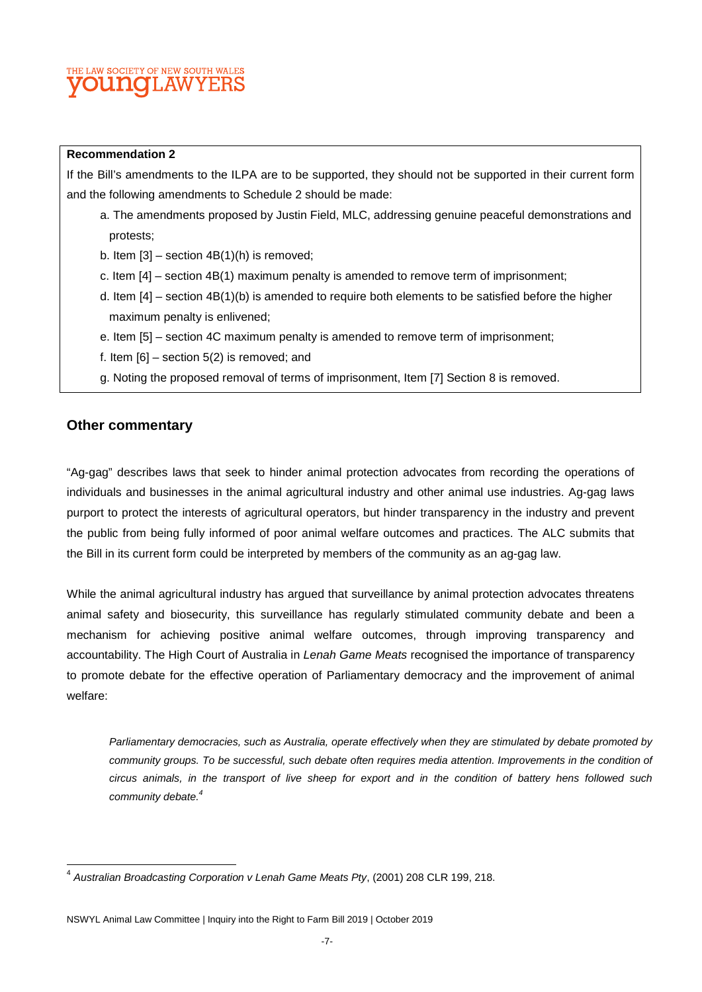## THE LAW SOCIETY OF NEW SOUTH WALES **OUNCLAWYE**

#### **Recommendation 2**

If the Bill's amendments to the ILPA are to be supported, they should not be supported in their current form and the following amendments to Schedule 2 should be made:

- a. The amendments proposed by Justin Field, MLC, addressing genuine peaceful demonstrations and protests;
- b. Item  $[3]$  section  $4B(1)(h)$  is removed;
- c. Item [4] section 4B(1) maximum penalty is amended to remove term of imprisonment;
- d. Item [4] section 4B(1)(b) is amended to require both elements to be satisfied before the higher maximum penalty is enlivened;
- e. Item [5] section 4C maximum penalty is amended to remove term of imprisonment;
- f. Item [6] section 5(2) is removed; and
- g. Noting the proposed removal of terms of imprisonment, Item [7] Section 8 is removed.

#### **Other commentary**

"Ag-gag" describes laws that seek to hinder animal protection advocates from recording the operations of individuals and businesses in the animal agricultural industry and other animal use industries. Ag-gag laws purport to protect the interests of agricultural operators, but hinder transparency in the industry and prevent the public from being fully informed of poor animal welfare outcomes and practices. The ALC submits that the Bill in its current form could be interpreted by members of the community as an ag-gag law.

While the animal agricultural industry has argued that surveillance by animal protection advocates threatens animal safety and biosecurity, this surveillance has regularly stimulated community debate and been a mechanism for achieving positive animal welfare outcomes, through improving transparency and accountability. The High Court of Australia in *Lenah Game Meats* recognised the importance of transparency to promote debate for the effective operation of Parliamentary democracy and the improvement of animal welfare:

*Parliamentary democracies, such as Australia, operate effectively when they are stimulated by debate promoted by community groups. To be successful, such debate often requires media attention. Improvements in the condition of circus animals, in the transport of live sheep for export and in the condition of battery hens followed such community debate.<sup>4</sup>*

<sup>4</sup> *Australian Broadcasting Corporation v Lenah Game Meats Pty*, (2001) 208 CLR 199, 218.

NSWYL Animal Law Committee | Inquiry into the Right to Farm Bill 2019 | October 2019